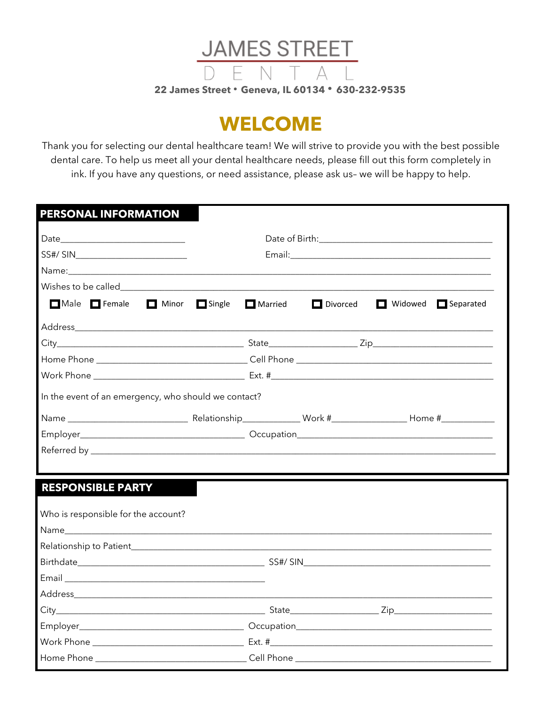

## **WELCOME**

Thank you for selecting our dental healthcare team! We will strive to provide you with the best possible dental care. To help us meet all your dental healthcare needs, please fill out this form completely in ink. If you have any questions, or need assistance, please ask us- we will be happy to help.

| SS#/ SIN__________________________                                                                                                                                                                                             |                                |                                         |
|--------------------------------------------------------------------------------------------------------------------------------------------------------------------------------------------------------------------------------|--------------------------------|-----------------------------------------|
|                                                                                                                                                                                                                                |                                |                                         |
| Wishes to be called a state of the state of the state of the state of the state of the state of the state of the state of the state of the state of the state of the state of the state of the state of the state of the state |                                |                                         |
| Male Female                                                                                                                                                                                                                    | Minor Single<br>$\Box$ Married | Divorced<br>Widowed<br>$\Box$ Separated |
|                                                                                                                                                                                                                                |                                |                                         |
|                                                                                                                                                                                                                                |                                |                                         |
|                                                                                                                                                                                                                                |                                |                                         |
|                                                                                                                                                                                                                                |                                |                                         |
| In the event of an emergency, who should we contact?                                                                                                                                                                           |                                |                                         |
|                                                                                                                                                                                                                                |                                |                                         |
|                                                                                                                                                                                                                                |                                |                                         |
|                                                                                                                                                                                                                                |                                |                                         |
|                                                                                                                                                                                                                                |                                |                                         |
|                                                                                                                                                                                                                                |                                |                                         |
| <b>RESPONSIBLE PARTY</b>                                                                                                                                                                                                       |                                |                                         |
|                                                                                                                                                                                                                                |                                |                                         |
| Who is responsible for the account?                                                                                                                                                                                            |                                |                                         |
|                                                                                                                                                                                                                                |                                |                                         |
|                                                                                                                                                                                                                                |                                |                                         |
|                                                                                                                                                                                                                                |                                |                                         |
|                                                                                                                                                                                                                                |                                |                                         |
|                                                                                                                                                                                                                                |                                |                                         |
|                                                                                                                                                                                                                                |                                |                                         |
|                                                                                                                                                                                                                                |                                |                                         |